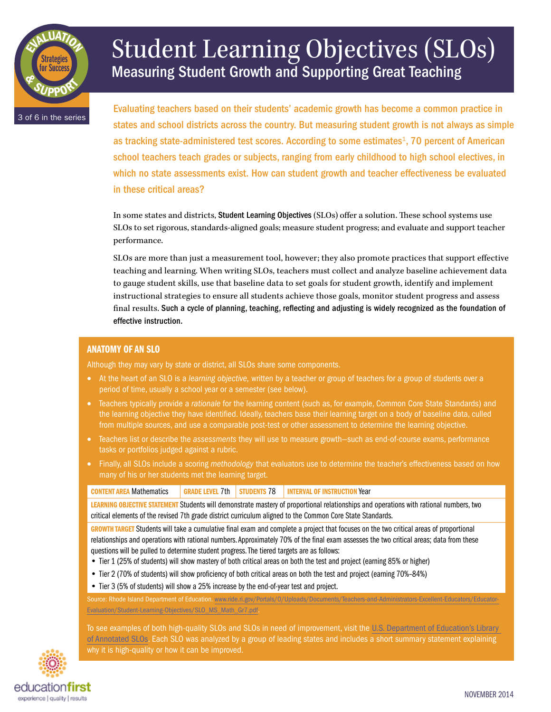

# Student Learning Objectives (SLOs) Measuring Student Growth and Supporting Great Teaching

3 of 6 in the series

Evaluating teachers based on their students' academic growth has become a common practice in states and school districts across the country. But measuring student growth is not always as simple as tracking state-administered test scores. According to some estimates<sup>1</sup>, 70 percent of American school teachers teach grades or subjects, ranging from early childhood to high school electives, in which no state assessments exist. How can student growth and teacher effectiveness be evaluated in these critical areas?

In some states and districts, Student Learning Objectives (SLOs) offer a solution. These school systems use SLOs to set rigorous, standards-aligned goals; measure student progress; and evaluate and support teacher performance.

SLOs are more than just a measurement tool, however; they also promote practices that support effective teaching and learning. When writing SLOs, teachers must collect and analyze baseline achievement data to gauge student skills, use that baseline data to set goals for student growth, identify and implement instructional strategies to ensure all students achieve those goals, monitor student progress and assess final results. Such a cycle of planning, teaching, reflecting and adjusting is widely recognized as the foundation of effective instruction.

## Anatomy of an SLO

Although they may vary by state or district, all SLOs share some components.

- • At the heart of an SLO is a *learning objective,* written by a teacher or group of teachers for a group of students over a period of time, usually a school year or a semester (see below).
- • Teachers typically provide a *rationale* for the learning content (such as, for example, Common Core State Standards) and the learning objective they have identified. Ideally, teachers base their learning target on a body of baseline data, culled from multiple sources, and use a comparable post-test or other assessment to determine the learning objective.
- • Teachers list or describe the *assessments* they will use to measure growth—such as end-of-course exams, performance tasks or portfolios judged against a rubric.
- • Finally, all SLOs include a scoring *methodology* that evaluators use to determine the teacher's effectiveness based on how many of his or her students met the learning target.

| <b>CONTENT AREA Mathematics</b>                                                                                                        |  |  | GRADE LEVEL 7th   STUDENTS 78   INTERVAL OF INSTRUCTION<br>∎Year |  |  |
|----------------------------------------------------------------------------------------------------------------------------------------|--|--|------------------------------------------------------------------|--|--|
| LEARNING OBJECTIVE STATEMENT Students will demonstrate mastery of proportional relationships and operations with rational numbers, two |  |  |                                                                  |  |  |
| critical elements of the revised 7th grade district curriculum aligned to the Common Core State Standards.                             |  |  |                                                                  |  |  |

GROWTH TARGET Students will take a cumulative final exam and complete a project that focuses on the two critical areas of proportional relationships and operations with rational numbers. Approximately 70% of the final exam assesses the two critical areas; data from these questions will be pulled to determine student progress. The tiered targets are as follows:

- Tier 1 (25% of students) will show mastery of both critical areas on both the test and project (earning 85% or higher)
- Tier 2 (70% of students) will show proficiency of both critical areas on both the test and project (earning 70%–84%)
- Tier 3 (5% of students) will show a 25% increase by the end-of-year test and project.

Source: Rhode Island Department of Education. [www.ride.ri.gov/Portals/0/Uploads/Documents/Teachers-and-Administrators-Excellent-Educators/Educator-](www.ride.ri.gov/Portals/0/Uploads/Documents/Teachers-and-Administrators-Excellent-Educators/Educator-Evaluation/Student-Learning-Objectives/SLO_MS_Math_Gr7.pdf)[Evaluation/Student-Learning-Objectives/SLO\\_MS\\_Math\\_Gr7.pdf.](www.ride.ri.gov/Portals/0/Uploads/Documents/Teachers-and-Administrators-Excellent-Educators/Educator-Evaluation/Student-Learning-Objectives/SLO_MS_Math_Gr7.pdf)

To see examples of both high-quality SLOs and SLOs in need of improvement, visit the [U.S. Department of Education's Library](https://rtt.grads360.org/#communities/tle-sa/workgroups/slo/slo-library)  [of Annotated SLOs.](https://rtt.grads360.org/#communities/tle-sa/workgroups/slo/slo-library) Each SLO was analyzed by a group of leading states and includes a short summary statement explaining why it is high-quality or how it can be improved.

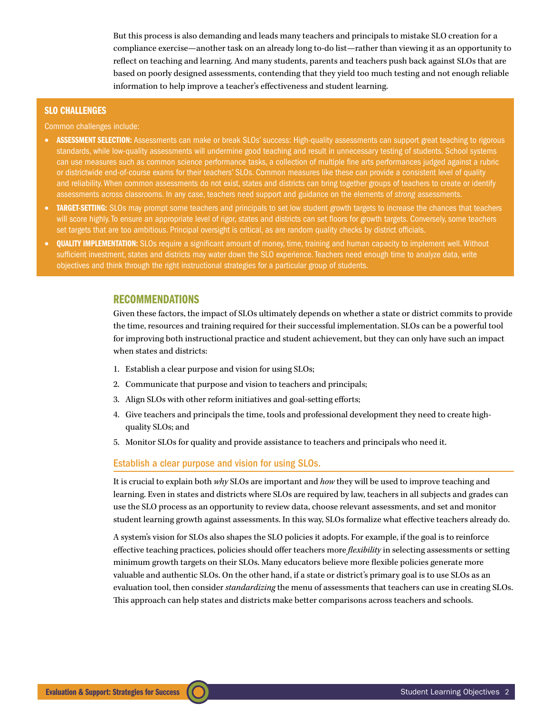But this process is also demanding and leads many teachers and principals to mistake SLO creation for a compliance exercise—another task on an already long to-do list—rather than viewing it as an opportunity to reflect on teaching and learning. And many students, parents and teachers push back against SLOs that are based on poorly designed assessments, contending that they yield too much testing and not enough reliable information to help improve a teacher's effectiveness and student learning.

### SLO Challenges

Common challenges include:

- **ASSESSMENT SELECTION:** Assessments can make or break SLOs' success: High-quality assessments can support great teaching to rigorous standards, while low-quality assessments will undermine good teaching and result in unnecessary testing of students. School systems can use measures such as common science performance tasks, a collection of multiple fine arts performances judged against a rubric or districtwide end-of-course exams for their teachers' SLOs. Common measures like these can provide a consistent level of quality and reliability. When common assessments do not exist, states and districts can bring together groups of teachers to create or identify assessments across classrooms. In any case, teachers need support and guidance on the elements of *strong* assessments.
- TARGET-SETTING: SLOs may prompt some teachers and principals to set low student growth targets to increase the chances that teachers will score highly. To ensure an appropriate level of rigor, states and districts can set floors for growth targets. Conversely, some teachers set targets that are too ambitious. Principal oversight is critical, as are random quality checks by district officials.
- **QUALITY IMPLEMENTATION:** SLOs require a significant amount of money, time, training and human capacity to implement well. Without sufficient investment, states and districts may water down the SLO experience. Teachers need enough time to analyze data, write objectives and think through the right instructional strategies for a particular group of students.

## RECOMMENDATIONS

Given these factors, the impact of SLOs ultimately depends on whether a state or district commits to provide the time, resources and training required for their successful implementation. SLOs can be a powerful tool for improving both instructional practice and student achievement, but they can only have such an impact when states and districts:

- 1. Establish a clear purpose and vision for using SLOs;
- 2. Communicate that purpose and vision to teachers and principals;
- 3. Align SLOs with other reform initiatives and goal-setting efforts;
- 4. Give teachers and principals the time, tools and professional development they need to create highquality SLOs; and
- 5. Monitor SLOs for quality and provide assistance to teachers and principals who need it.

#### Establish a clear purpose and vision for using SLOs.

It is crucial to explain both *why* SLOs are important and *how* they will be used to improve teaching and learning. Even in states and districts where SLOs are required by law, teachers in all subjects and grades can use the SLO process as an opportunity to review data, choose relevant assessments, and set and monitor student learning growth against assessments. In this way, SLOs formalize what effective teachers already do.

A system's vision for SLOs also shapes the SLO policies it adopts. For example, if the goal is to reinforce effective teaching practices, policies should offer teachers more *flexibility* in selecting assessments or setting minimum growth targets on their SLOs. Many educators believe more flexible policies generate more valuable and authentic SLOs. On the other hand, if a state or district's primary goal is to use SLOs as an evaluation tool, then consider *standardizing* the menu of assessments that teachers can use in creating SLOs. This approach can help states and districts make better comparisons across teachers and schools.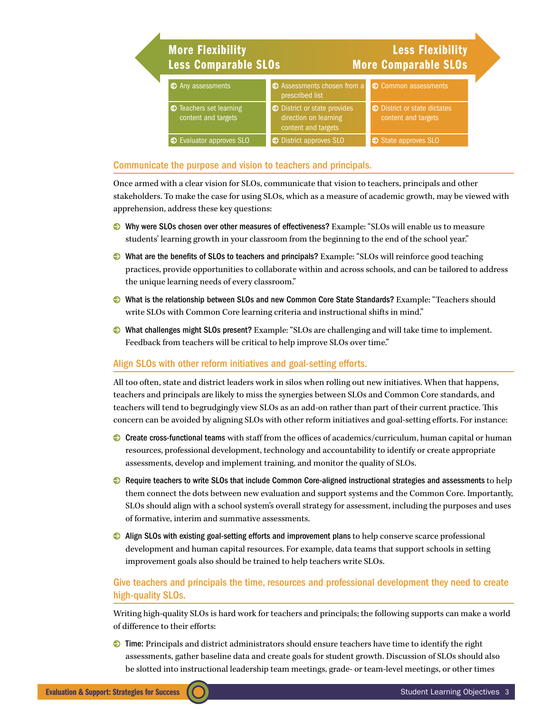| <b>More Flexibility</b><br><b>Less Comparable SLOs</b> |                                                                              | <b>Less Flexibility</b><br><b>More Comparable SLOs</b> |
|--------------------------------------------------------|------------------------------------------------------------------------------|--------------------------------------------------------|
| $\bullet$ Any assessments                              | ● Assessments chosen from a<br>prescribed list                               | • Common assessments                                   |
| $\odot$ Teachers set learning<br>content and targets   | ● District or state provides<br>direction on learning<br>content and targets | ● District or state dictates<br>content and targets    |
| $\odot$ Evaluator approves SLO                         | <b>●</b> District approves SLO                                               | State approves SLO                                     |

## Communicate the purpose and vision to teachers and principals.

Once armed with a clear vision for SLOs, communicate that vision to teachers, principals and other stakeholders. To make the case for using SLOs, which as a measure of academic growth, may be viewed with apprehension, address these key questions:

- 0 Why were SLOs chosen over other measures of effectiveness? Example: "SLOs will enable us to measure students' learning growth in your classroom from the beginning to the end of the school year."
- 0 What are the benefits of SLOs to teachers and principals? Example: "SLOs will reinforce good teaching practices, provide opportunities to collaborate within and across schools, and can be tailored to address the unique learning needs of every classroom."
- 0 What is the relationship between SLOs and new Common Core State Standards? Example: "Teachers should write SLOs with Common Core learning criteria and instructional shifts in mind."
- 0 What challenges might SLOs present? Example: "SLOs are challenging and will take time to implement. Feedback from teachers will be critical to help improve SLOs over time."

## Align SLOs with other reform initiatives and goal-setting efforts.

All too often, state and district leaders work in silos when rolling out new initiatives. When that happens, teachers and principals are likely to miss the synergies between SLOs and Common Core standards, and teachers will tend to begrudgingly view SLOs as an add-on rather than part of their current practice. This concern can be avoided by aligning SLOs with other reform initiatives and goal-setting efforts. For instance:

- 0 Create cross-functional teams with staff from the offices of academics/curriculum, human capital or human resources, professional development, technology and accountability to identify or create appropriate assessments, develop and implement training, and monitor the quality of SLOs.
- **•** Require teachers to [write SLOs that include Common Core-aligned instructional strategies and assessments](http://www.google.com/url?sa=t&rct=j&q=&esrc=s&source=web&cd=2&ved=0CDUQFjAB&url=http%3A%2F%2Fwww.engageny.org%2Fsites%2Fdefault%2Ffiles%2Fresource%2Fattachments%2Fslo_template.doc&ei=DCmyUo_zIZXNsQT8gYLoAg&usg=AFQjCNHNFTtcQiGjBH1IU6uRo4Rila1gLw&sig2=qZr7cCh_MtwANKxiQXQ24A&bvm=bv.58187178,d.cWc&cad=rja) to help them connect the dots between new evaluation and support systems and the Common Core. Importantly, SLOs should align with a school system's overall strategy for assessment, including the purposes and uses of formative, interim and summative assessments.
- $\odot$  Align SLOs with existing goal-setting efforts and improvement plans to help conserve scarce professional development and human capital resources. For example, data teams that support schools in setting improvement goals also should be trained to help teachers write SLOs.

## Give teachers and principals the time, resources and professional development they need to create high-quality SLOs.

Writing high-quality SLOs is hard work for teachers and principals; the following supports can make a world of difference to their efforts:

0 Time: Principals and district administrators should ensure teachers have time to identify the right assessments, gather baseline data and create goals for student growth. Discussion of SLOs should also be slotted into instructional leadership team meetings, grade- or team-level meetings, or other times